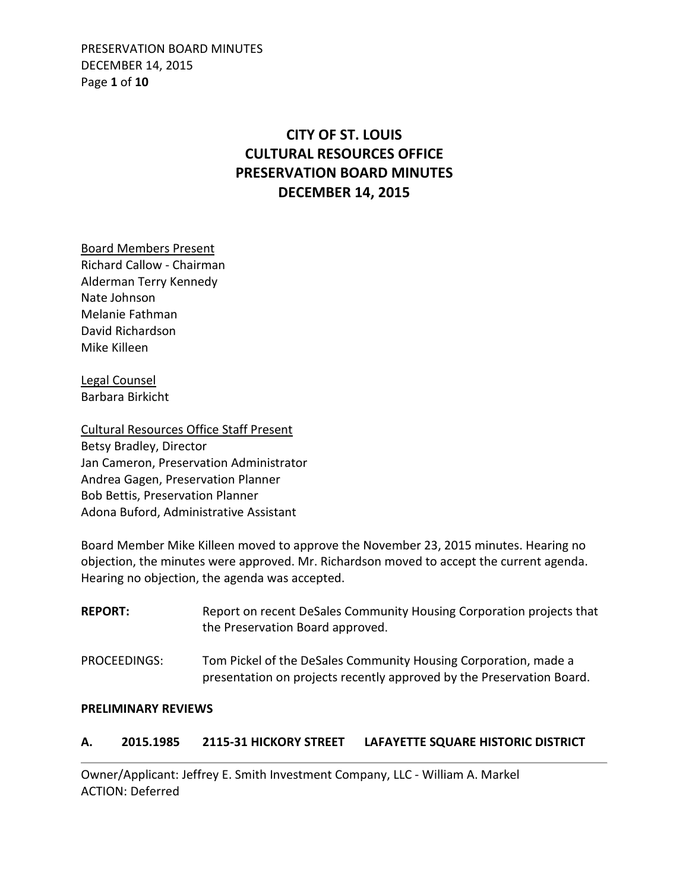PRESERVATION BOARD MINUTES DECEMBER 14, 2015 Page **1** of **10**

# **CITY OF ST. LOUIS CULTURAL RESOURCES OFFICE PRESERVATION BOARD MINUTES DECEMBER 14, 2015**

Board Members Present Richard Callow - Chairman Alderman Terry Kennedy Nate Johnson Melanie Fathman David Richardson Mike Killeen

Legal Counsel Barbara Birkicht

Cultural Resources Office Staff Present Betsy Bradley, Director Jan Cameron, Preservation Administrator Andrea Gagen, Preservation Planner Bob Bettis, Preservation Planner Adona Buford, Administrative Assistant

Board Member Mike Killeen moved to approve the November 23, 2015 minutes. Hearing no objection, the minutes were approved. Mr. Richardson moved to accept the current agenda. Hearing no objection, the agenda was accepted.

| <b>REPORT:</b> | Report on recent DeSales Community Housing Corporation projects that<br>the Preservation Board approved.                                 |
|----------------|------------------------------------------------------------------------------------------------------------------------------------------|
| PROCEEDINGS:   | Tom Pickel of the DeSales Community Housing Corporation, made a<br>presentation on projects recently approved by the Preservation Board. |

#### **PRELIMINARY REVIEWS**

# **A. 2015.1985 2115-31 HICKORY STREET LAFAYETTE SQUARE HISTORIC DISTRICT**

Owner/Applicant: Jeffrey E. Smith Investment Company, LLC - William A. Markel ACTION: Deferred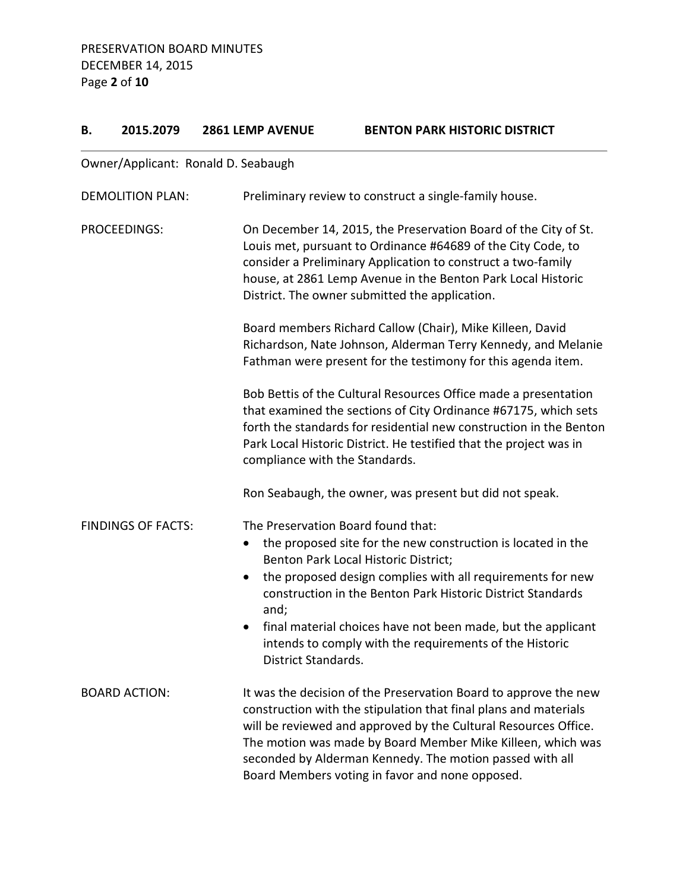# **B. 2015.2079 2861 LEMP AVENUE BENTON PARK HISTORIC DISTRICT**

# Owner/Applicant: Ronald D. Seabaugh

| <b>DEMOLITION PLAN:</b>   | Preliminary review to construct a single-family house.                                                                                                                                                                                                                                                                                                                                                                                                                   |
|---------------------------|--------------------------------------------------------------------------------------------------------------------------------------------------------------------------------------------------------------------------------------------------------------------------------------------------------------------------------------------------------------------------------------------------------------------------------------------------------------------------|
| PROCEEDINGS:              | On December 14, 2015, the Preservation Board of the City of St.<br>Louis met, pursuant to Ordinance #64689 of the City Code, to<br>consider a Preliminary Application to construct a two-family<br>house, at 2861 Lemp Avenue in the Benton Park Local Historic<br>District. The owner submitted the application.                                                                                                                                                        |
|                           | Board members Richard Callow (Chair), Mike Killeen, David<br>Richardson, Nate Johnson, Alderman Terry Kennedy, and Melanie<br>Fathman were present for the testimony for this agenda item.                                                                                                                                                                                                                                                                               |
|                           | Bob Bettis of the Cultural Resources Office made a presentation<br>that examined the sections of City Ordinance #67175, which sets<br>forth the standards for residential new construction in the Benton<br>Park Local Historic District. He testified that the project was in<br>compliance with the Standards.                                                                                                                                                         |
|                           | Ron Seabaugh, the owner, was present but did not speak.                                                                                                                                                                                                                                                                                                                                                                                                                  |
| <b>FINDINGS OF FACTS:</b> | The Preservation Board found that:<br>the proposed site for the new construction is located in the<br>$\bullet$<br>Benton Park Local Historic District;<br>the proposed design complies with all requirements for new<br>$\bullet$<br>construction in the Benton Park Historic District Standards<br>and;<br>final material choices have not been made, but the applicant<br>$\bullet$<br>intends to comply with the requirements of the Historic<br>District Standards. |
| <b>BOARD ACTION:</b>      | It was the decision of the Preservation Board to approve the new<br>construction with the stipulation that final plans and materials<br>will be reviewed and approved by the Cultural Resources Office.<br>The motion was made by Board Member Mike Killeen, which was<br>seconded by Alderman Kennedy. The motion passed with all<br>Board Members voting in favor and none opposed.                                                                                    |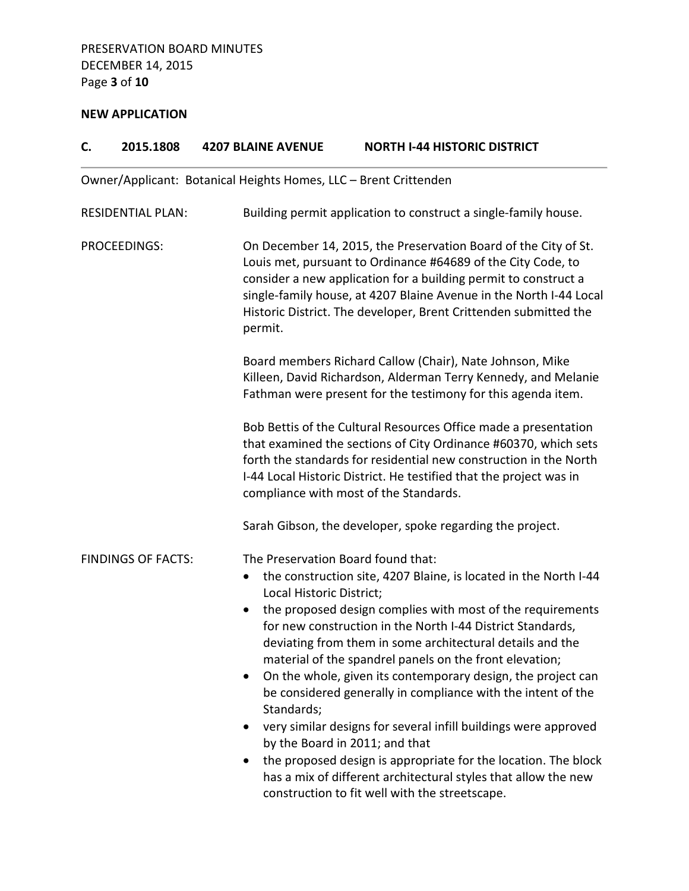# **NEW APPLICATION**

| C.                      | 2015.1808                 | <b>4207 BLAINE AVENUE</b>                                                                              | <b>NORTH I-44 HISTORIC DISTRICT</b>                                                                                                                                                                                                                                                                                                                                                                                                                                                                                                                                                                                                                                                                                                             |
|-------------------------|---------------------------|--------------------------------------------------------------------------------------------------------|-------------------------------------------------------------------------------------------------------------------------------------------------------------------------------------------------------------------------------------------------------------------------------------------------------------------------------------------------------------------------------------------------------------------------------------------------------------------------------------------------------------------------------------------------------------------------------------------------------------------------------------------------------------------------------------------------------------------------------------------------|
|                         |                           | Owner/Applicant: Botanical Heights Homes, LLC - Brent Crittenden                                       |                                                                                                                                                                                                                                                                                                                                                                                                                                                                                                                                                                                                                                                                                                                                                 |
|                         | <b>RESIDENTIAL PLAN:</b>  |                                                                                                        | Building permit application to construct a single-family house.                                                                                                                                                                                                                                                                                                                                                                                                                                                                                                                                                                                                                                                                                 |
| PROCEEDINGS:<br>permit. |                           |                                                                                                        | On December 14, 2015, the Preservation Board of the City of St.<br>Louis met, pursuant to Ordinance #64689 of the City Code, to<br>consider a new application for a building permit to construct a<br>single-family house, at 4207 Blaine Avenue in the North I-44 Local<br>Historic District. The developer, Brent Crittenden submitted the                                                                                                                                                                                                                                                                                                                                                                                                    |
|                         |                           |                                                                                                        | Board members Richard Callow (Chair), Nate Johnson, Mike<br>Killeen, David Richardson, Alderman Terry Kennedy, and Melanie<br>Fathman were present for the testimony for this agenda item.                                                                                                                                                                                                                                                                                                                                                                                                                                                                                                                                                      |
|                         |                           |                                                                                                        | Bob Bettis of the Cultural Resources Office made a presentation<br>that examined the sections of City Ordinance #60370, which sets<br>forth the standards for residential new construction in the North<br>I-44 Local Historic District. He testified that the project was in<br>compliance with most of the Standards.                                                                                                                                                                                                                                                                                                                                                                                                                         |
|                         |                           |                                                                                                        | Sarah Gibson, the developer, spoke regarding the project.                                                                                                                                                                                                                                                                                                                                                                                                                                                                                                                                                                                                                                                                                       |
|                         | <b>FINDINGS OF FACTS:</b> | The Preservation Board found that:<br>Local Historic District;<br>$\bullet$<br>$\bullet$<br>Standards; | the construction site, 4207 Blaine, is located in the North I-44<br>the proposed design complies with most of the requirements<br>for new construction in the North I-44 District Standards,<br>deviating from them in some architectural details and the<br>material of the spandrel panels on the front elevation;<br>On the whole, given its contemporary design, the project can<br>be considered generally in compliance with the intent of the<br>very similar designs for several infill buildings were approved<br>by the Board in 2011; and that<br>the proposed design is appropriate for the location. The block<br>has a mix of different architectural styles that allow the new<br>construction to fit well with the streetscape. |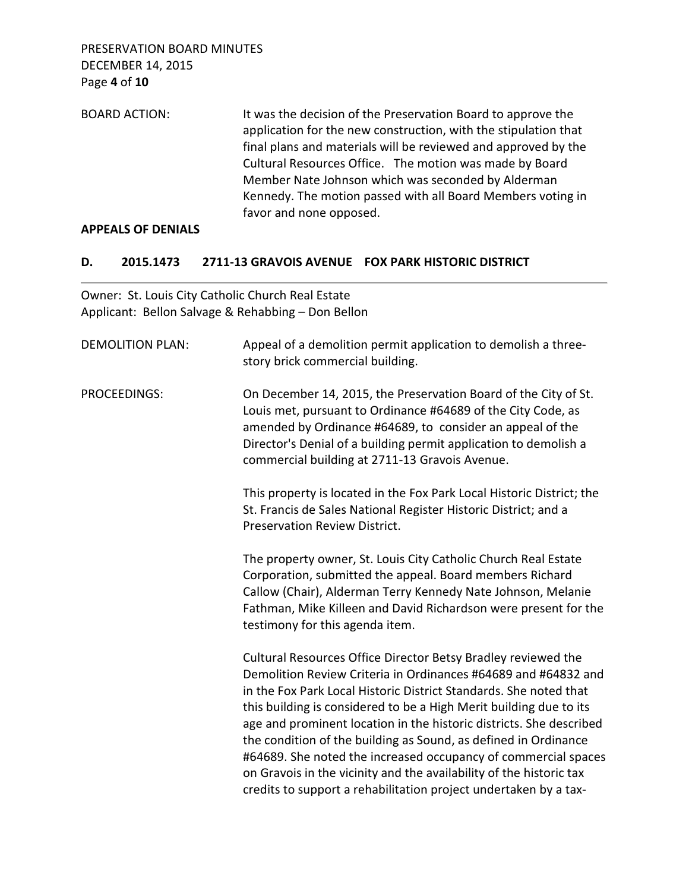PRESERVATION BOARD MINUTES DECEMBER 14, 2015 Page **4** of **10**

| <b>BOARD ACTION:</b> | It was the decision of the Preservation Board to approve the    |
|----------------------|-----------------------------------------------------------------|
|                      | application for the new construction, with the stipulation that |
|                      | final plans and materials will be reviewed and approved by the  |
|                      | Cultural Resources Office. The motion was made by Board         |
|                      | Member Nate Johnson which was seconded by Alderman              |
|                      | Kennedy. The motion passed with all Board Members voting in     |
|                      | favor and none opposed.                                         |

#### **APPEALS OF DENIALS**

#### **D. 2015.1473 2711-13 GRAVOIS AVENUE FOX PARK HISTORIC DISTRICT**

Owner: St. Louis City Catholic Church Real Estate Applicant: Bellon Salvage & Rehabbing – Don Bellon

| <b>DEMOLITION PLAN:</b> | Appeal of a demolition permit application to demolish a three-<br>story brick commercial building.                                                                                                                                                                                                                                                                                                                                                                                                                                                                                                                                |
|-------------------------|-----------------------------------------------------------------------------------------------------------------------------------------------------------------------------------------------------------------------------------------------------------------------------------------------------------------------------------------------------------------------------------------------------------------------------------------------------------------------------------------------------------------------------------------------------------------------------------------------------------------------------------|
| PROCEEDINGS:            | On December 14, 2015, the Preservation Board of the City of St.<br>Louis met, pursuant to Ordinance #64689 of the City Code, as<br>amended by Ordinance #64689, to consider an appeal of the<br>Director's Denial of a building permit application to demolish a<br>commercial building at 2711-13 Gravois Avenue.                                                                                                                                                                                                                                                                                                                |
|                         | This property is located in the Fox Park Local Historic District; the<br>St. Francis de Sales National Register Historic District; and a<br><b>Preservation Review District.</b>                                                                                                                                                                                                                                                                                                                                                                                                                                                  |
|                         | The property owner, St. Louis City Catholic Church Real Estate<br>Corporation, submitted the appeal. Board members Richard<br>Callow (Chair), Alderman Terry Kennedy Nate Johnson, Melanie<br>Fathman, Mike Killeen and David Richardson were present for the<br>testimony for this agenda item.                                                                                                                                                                                                                                                                                                                                  |
|                         | Cultural Resources Office Director Betsy Bradley reviewed the<br>Demolition Review Criteria in Ordinances #64689 and #64832 and<br>in the Fox Park Local Historic District Standards. She noted that<br>this building is considered to be a High Merit building due to its<br>age and prominent location in the historic districts. She described<br>the condition of the building as Sound, as defined in Ordinance<br>#64689. She noted the increased occupancy of commercial spaces<br>on Gravois in the vicinity and the availability of the historic tax<br>credits to support a rehabilitation project undertaken by a tax- |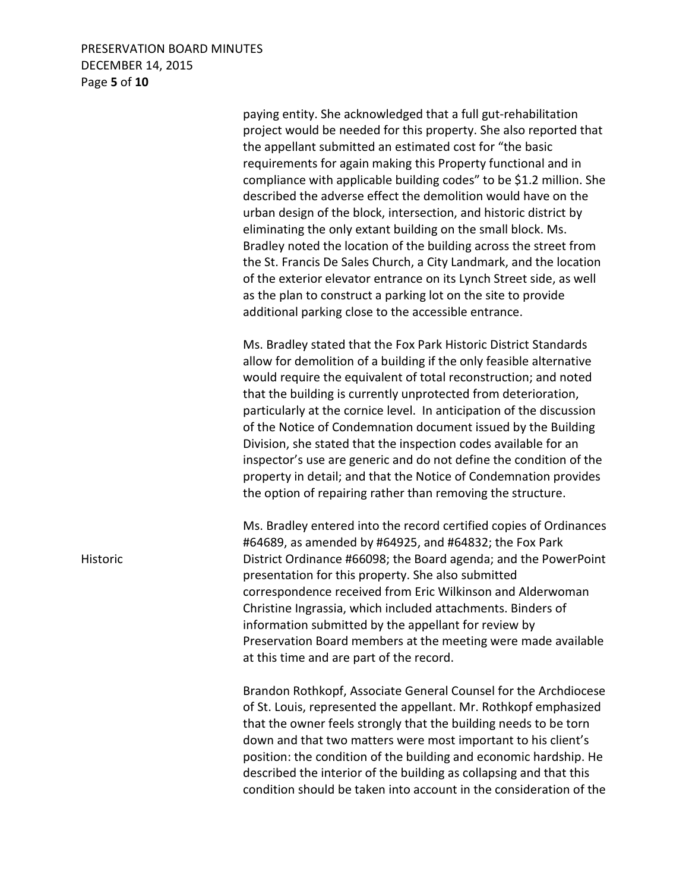### PRESERVATION BOARD MINUTES DECEMBER 14, 2015 Page **5** of **10**

 paying entity. She acknowledged that a full gut-rehabilitation project would be needed for this property. She also reported that the appellant submitted an estimated cost for "the basic requirements for again making this Property functional and in compliance with applicable building codes" to be \$1.2 million. She described the adverse effect the demolition would have on the urban design of the block, intersection, and historic district by eliminating the only extant building on the small block. Ms. Bradley noted the location of the building across the street from the St. Francis De Sales Church, a City Landmark, and the location of the exterior elevator entrance on its Lynch Street side, as well as the plan to construct a parking lot on the site to provide additional parking close to the accessible entrance. Ms. Bradley stated that the Fox Park Historic District Standards allow for demolition of a building if the only feasible alternative would require the equivalent of total reconstruction; and noted that the building is currently unprotected from deterioration, particularly at the cornice level. In anticipation of the discussion of the Notice of Condemnation document issued by the Building Division, she stated that the inspection codes available for an inspector's use are generic and do not define the condition of the property in detail; and that the Notice of Condemnation provides the option of repairing rather than removing the structure. Ms. Bradley entered into the record certified copies of Ordinances #64689, as amended by #64925, and #64832; the Fox Park Historic District Ordinance #66098; the Board agenda; and the PowerPoint presentation for this property. She also submitted correspondence received from Eric Wilkinson and Alderwoman Christine Ingrassia, which included attachments. Binders of information submitted by the appellant for review by Preservation Board members at the meeting were made available at this time and are part of the record. Brandon Rothkopf, Associate General Counsel for the Archdiocese of St. Louis, represented the appellant. Mr. Rothkopf emphasized that the owner feels strongly that the building needs to be torn down and that two matters were most important to his client's position: the condition of the building and economic hardship. He

 described the interior of the building as collapsing and that this condition should be taken into account in the consideration of the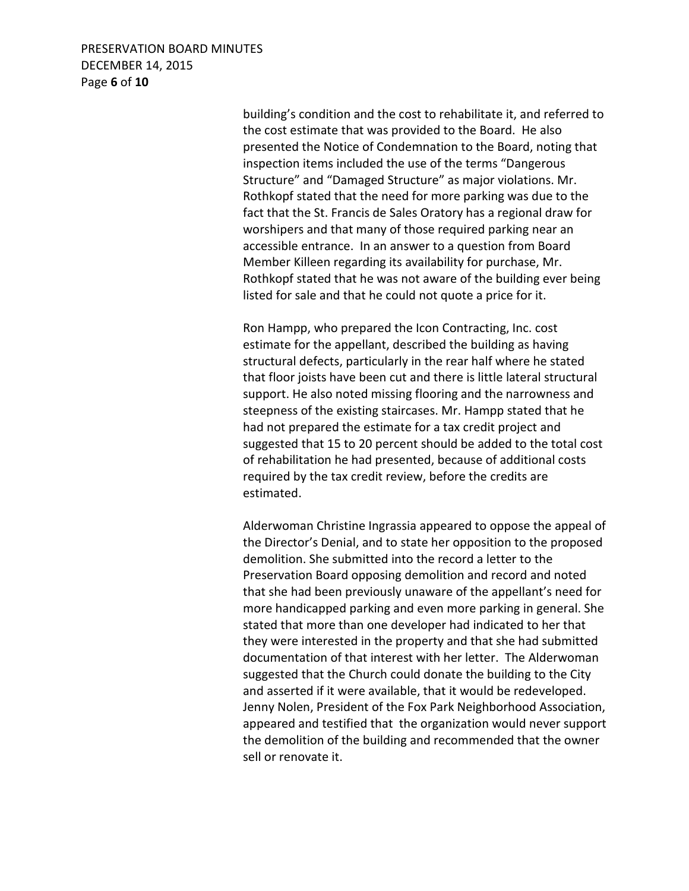## PRESERVATION BOARD MINUTES DECEMBER 14, 2015 Page **6** of **10**

 building's condition and the cost to rehabilitate it, and referred to the cost estimate that was provided to the Board. He also presented the Notice of Condemnation to the Board, noting that inspection items included the use of the terms "Dangerous Structure" and "Damaged Structure" as major violations. Mr. Rothkopf stated that the need for more parking was due to the fact that the St. Francis de Sales Oratory has a regional draw for worshipers and that many of those required parking near an accessible entrance. In an answer to a question from Board Member Killeen regarding its availability for purchase, Mr. Rothkopf stated that he was not aware of the building ever being listed for sale and that he could not quote a price for it.

 Ron Hampp, who prepared the Icon Contracting, Inc. cost estimate for the appellant, described the building as having structural defects, particularly in the rear half where he stated that floor joists have been cut and there is little lateral structural support. He also noted missing flooring and the narrowness and steepness of the existing staircases. Mr. Hampp stated that he had not prepared the estimate for a tax credit project and suggested that 15 to 20 percent should be added to the total cost of rehabilitation he had presented, because of additional costs required by the tax credit review, before the credits are estimated.

 Alderwoman Christine Ingrassia appeared to oppose the appeal of the Director's Denial, and to state her opposition to the proposed demolition. She submitted into the record a letter to the Preservation Board opposing demolition and record and noted that she had been previously unaware of the appellant's need for more handicapped parking and even more parking in general. She stated that more than one developer had indicated to her that they were interested in the property and that she had submitted documentation of that interest with her letter. The Alderwoman suggested that the Church could donate the building to the City and asserted if it were available, that it would be redeveloped. Jenny Nolen, President of the Fox Park Neighborhood Association, appeared and testified that the organization would never support the demolition of the building and recommended that the owner sell or renovate it.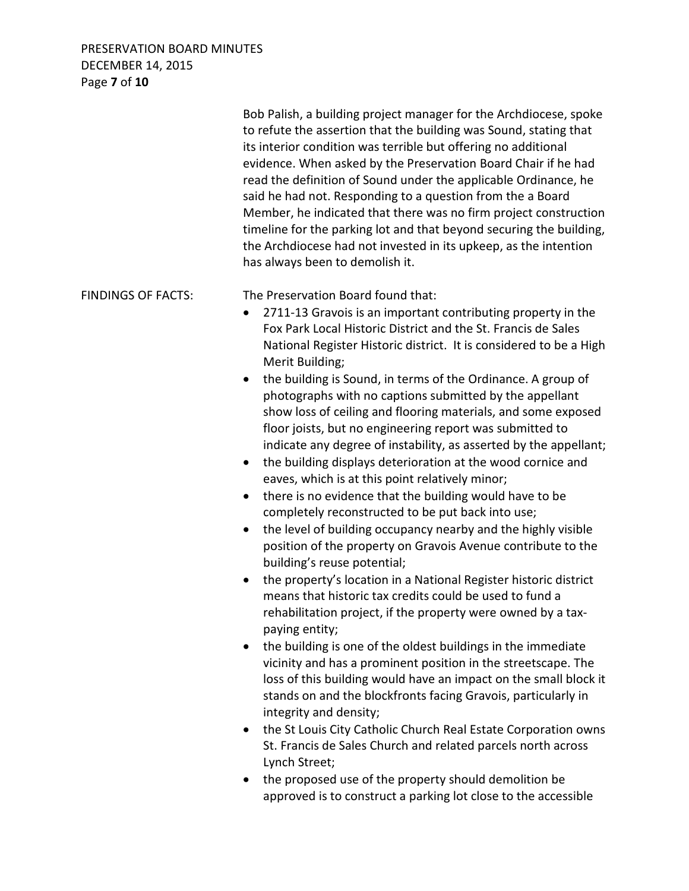# PRESERVATION BOARD MINUTES DECEMBER 14, 2015 Page **7** of **10**

|                           | Bob Palish, a building project manager for the Archdiocese, spoke<br>to refute the assertion that the building was Sound, stating that<br>its interior condition was terrible but offering no additional<br>evidence. When asked by the Preservation Board Chair if he had<br>read the definition of Sound under the applicable Ordinance, he<br>said he had not. Responding to a question from the a Board<br>Member, he indicated that there was no firm project construction<br>timeline for the parking lot and that beyond securing the building,<br>the Archdiocese had not invested in its upkeep, as the intention<br>has always been to demolish it.                                                                                                                                                                                                                                                                                                                                                                                                                                                                                                                                                                                                                                                                                                                                                                                                                                                                                                                                                                                                                                                                                                                                                                          |
|---------------------------|----------------------------------------------------------------------------------------------------------------------------------------------------------------------------------------------------------------------------------------------------------------------------------------------------------------------------------------------------------------------------------------------------------------------------------------------------------------------------------------------------------------------------------------------------------------------------------------------------------------------------------------------------------------------------------------------------------------------------------------------------------------------------------------------------------------------------------------------------------------------------------------------------------------------------------------------------------------------------------------------------------------------------------------------------------------------------------------------------------------------------------------------------------------------------------------------------------------------------------------------------------------------------------------------------------------------------------------------------------------------------------------------------------------------------------------------------------------------------------------------------------------------------------------------------------------------------------------------------------------------------------------------------------------------------------------------------------------------------------------------------------------------------------------------------------------------------------------|
| <b>FINDINGS OF FACTS:</b> | The Preservation Board found that:<br>2711-13 Gravois is an important contributing property in the<br>$\bullet$<br>Fox Park Local Historic District and the St. Francis de Sales<br>National Register Historic district. It is considered to be a High<br>Merit Building;<br>the building is Sound, in terms of the Ordinance. A group of<br>$\bullet$<br>photographs with no captions submitted by the appellant<br>show loss of ceiling and flooring materials, and some exposed<br>floor joists, but no engineering report was submitted to<br>indicate any degree of instability, as asserted by the appellant;<br>the building displays deterioration at the wood cornice and<br>٠<br>eaves, which is at this point relatively minor;<br>there is no evidence that the building would have to be<br>completely reconstructed to be put back into use;<br>the level of building occupancy nearby and the highly visible<br>position of the property on Gravois Avenue contribute to the<br>building's reuse potential;<br>the property's location in a National Register historic district<br>means that historic tax credits could be used to fund a<br>rehabilitation project, if the property were owned by a tax-<br>paying entity;<br>the building is one of the oldest buildings in the immediate<br>vicinity and has a prominent position in the streetscape. The<br>loss of this building would have an impact on the small block it<br>stands on and the blockfronts facing Gravois, particularly in<br>integrity and density;<br>the St Louis City Catholic Church Real Estate Corporation owns<br>$\bullet$<br>St. Francis de Sales Church and related parcels north across<br>Lynch Street;<br>the proposed use of the property should demolition be<br>approved is to construct a parking lot close to the accessible |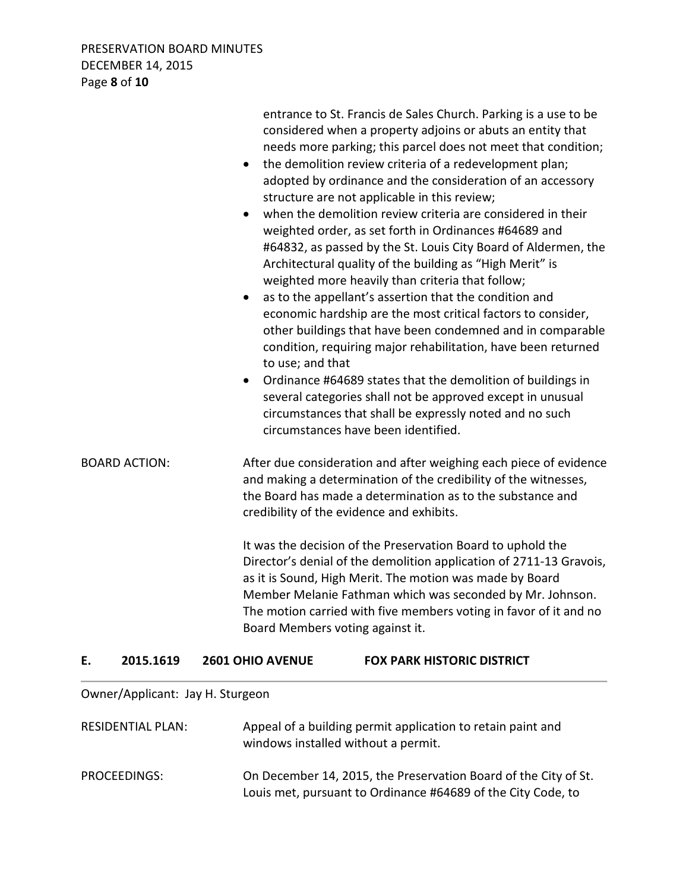PRESERVATION BOARD MINUTES DECEMBER 14, 2015 Page **8** of **10**

|                      | entrance to St. Francis de Sales Church. Parking is a use to be<br>considered when a property adjoins or abuts an entity that<br>needs more parking; this parcel does not meet that condition;<br>the demolition review criteria of a redevelopment plan;<br>$\bullet$<br>adopted by ordinance and the consideration of an accessory<br>structure are not applicable in this review;<br>when the demolition review criteria are considered in their<br>weighted order, as set forth in Ordinances #64689 and<br>#64832, as passed by the St. Louis City Board of Aldermen, the<br>Architectural quality of the building as "High Merit" is<br>weighted more heavily than criteria that follow;<br>as to the appellant's assertion that the condition and<br>$\bullet$<br>economic hardship are the most critical factors to consider,<br>other buildings that have been condemned and in comparable<br>condition, requiring major rehabilitation, have been returned<br>to use; and that<br>Ordinance #64689 states that the demolition of buildings in<br>$\bullet$<br>several categories shall not be approved except in unusual<br>circumstances that shall be expressly noted and no such<br>circumstances have been identified. |
|----------------------|--------------------------------------------------------------------------------------------------------------------------------------------------------------------------------------------------------------------------------------------------------------------------------------------------------------------------------------------------------------------------------------------------------------------------------------------------------------------------------------------------------------------------------------------------------------------------------------------------------------------------------------------------------------------------------------------------------------------------------------------------------------------------------------------------------------------------------------------------------------------------------------------------------------------------------------------------------------------------------------------------------------------------------------------------------------------------------------------------------------------------------------------------------------------------------------------------------------------------------------|
| <b>BOARD ACTION:</b> | After due consideration and after weighing each piece of evidence<br>and making a determination of the credibility of the witnesses,<br>the Board has made a determination as to the substance and<br>credibility of the evidence and exhibits.                                                                                                                                                                                                                                                                                                                                                                                                                                                                                                                                                                                                                                                                                                                                                                                                                                                                                                                                                                                      |
|                      | It was the decision of the Preservation Board to uphold the<br>Director's denial of the demolition application of 2711-13 Gravois,<br>as it is Sound, High Merit. The motion was made by Board<br>Member Melanie Fathman which was seconded by Mr. Johnson.<br>The motion carried with five members voting in favor of it and no<br>Board Members voting against it.                                                                                                                                                                                                                                                                                                                                                                                                                                                                                                                                                                                                                                                                                                                                                                                                                                                                 |

#### **E. 2015.1619 2601 OHIO AVENUE FOX PARK HISTORIC DISTRICT**

# Owner/Applicant: Jay H. Sturgeon

| <b>RESIDENTIAL PLAN:</b> | Appeal of a building permit application to retain paint and<br>windows installed without a permit.                              |
|--------------------------|---------------------------------------------------------------------------------------------------------------------------------|
| PROCEEDINGS:             | On December 14, 2015, the Preservation Board of the City of St.<br>Louis met, pursuant to Ordinance #64689 of the City Code, to |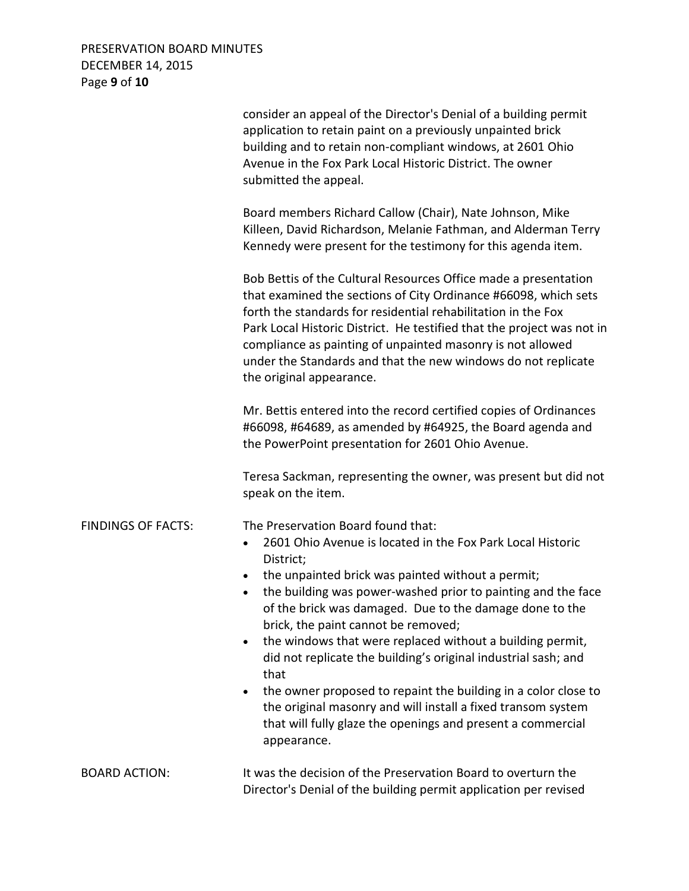PRESERVATION BOARD MINUTES DECEMBER 14, 2015 Page **9** of **10**

|                           | consider an appeal of the Director's Denial of a building permit<br>application to retain paint on a previously unpainted brick<br>building and to retain non-compliant windows, at 2601 Ohio<br>Avenue in the Fox Park Local Historic District. The owner<br>submitted the appeal.                                                                                                                                                                                                                                                                                                                                                                                                                                             |
|---------------------------|---------------------------------------------------------------------------------------------------------------------------------------------------------------------------------------------------------------------------------------------------------------------------------------------------------------------------------------------------------------------------------------------------------------------------------------------------------------------------------------------------------------------------------------------------------------------------------------------------------------------------------------------------------------------------------------------------------------------------------|
|                           | Board members Richard Callow (Chair), Nate Johnson, Mike<br>Killeen, David Richardson, Melanie Fathman, and Alderman Terry<br>Kennedy were present for the testimony for this agenda item.                                                                                                                                                                                                                                                                                                                                                                                                                                                                                                                                      |
|                           | Bob Bettis of the Cultural Resources Office made a presentation<br>that examined the sections of City Ordinance #66098, which sets<br>forth the standards for residential rehabilitation in the Fox<br>Park Local Historic District. He testified that the project was not in<br>compliance as painting of unpainted masonry is not allowed<br>under the Standards and that the new windows do not replicate<br>the original appearance.                                                                                                                                                                                                                                                                                        |
|                           | Mr. Bettis entered into the record certified copies of Ordinances<br>#66098, #64689, as amended by #64925, the Board agenda and<br>the PowerPoint presentation for 2601 Ohio Avenue.                                                                                                                                                                                                                                                                                                                                                                                                                                                                                                                                            |
|                           | Teresa Sackman, representing the owner, was present but did not<br>speak on the item.                                                                                                                                                                                                                                                                                                                                                                                                                                                                                                                                                                                                                                           |
| <b>FINDINGS OF FACTS:</b> | The Preservation Board found that:<br>2601 Ohio Avenue is located in the Fox Park Local Historic<br>$\bullet$<br>District;<br>the unpainted brick was painted without a permit;<br>٠<br>the building was power-washed prior to painting and the face<br>of the brick was damaged. Due to the damage done to the<br>brick, the paint cannot be removed;<br>the windows that were replaced without a building permit,<br>٠<br>did not replicate the building's original industrial sash; and<br>that<br>the owner proposed to repaint the building in a color close to<br>$\bullet$<br>the original masonry and will install a fixed transom system<br>that will fully glaze the openings and present a commercial<br>appearance. |
| <b>BOARD ACTION:</b>      | It was the decision of the Preservation Board to overturn the<br>Director's Denial of the building permit application per revised                                                                                                                                                                                                                                                                                                                                                                                                                                                                                                                                                                                               |